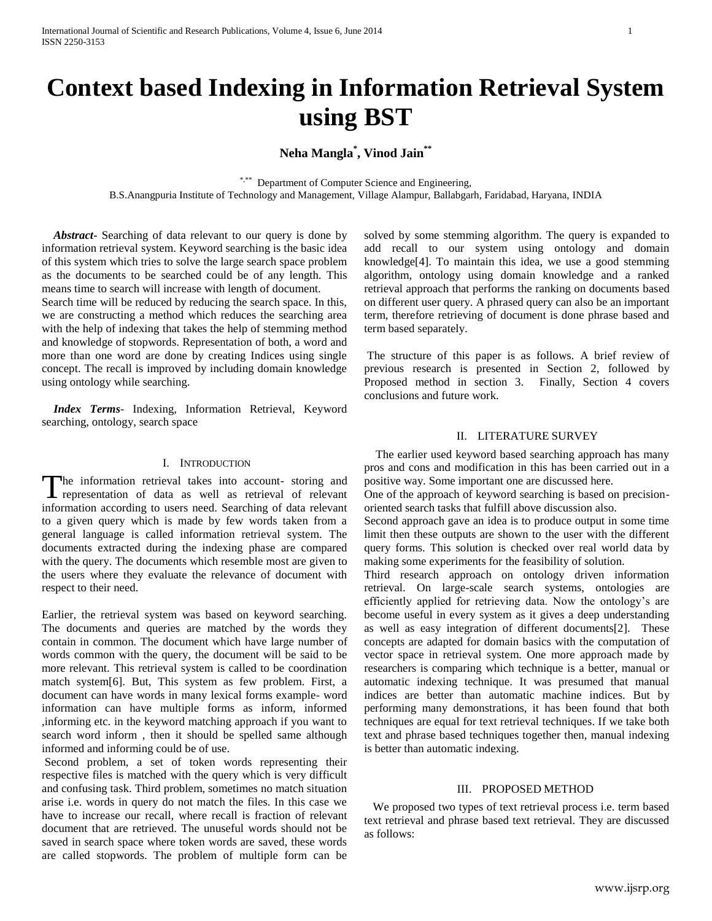# **Context based Indexing in Information Retrieval System using BST**

**Neha Mangla\* , Vinod Jain\*\***

\*,\*\* Department of Computer Science and Engineering,

B.S.Anangpuria Institute of Technology and Management, Village Alampur, Ballabgarh, Faridabad, Haryana, INDIA

 *Abstract***-** Searching of data relevant to our query is done by information retrieval system. Keyword searching is the basic idea of this system which tries to solve the large search space problem as the documents to be searched could be of any length. This means time to search will increase with length of document.

Search time will be reduced by reducing the search space. In this, we are constructing a method which reduces the searching area with the help of indexing that takes the help of stemming method and knowledge of stopwords. Representation of both, a word and more than one word are done by creating Indices using single concept. The recall is improved by including domain knowledge using ontology while searching.

 *Index Terms*- Indexing, Information Retrieval, Keyword searching, ontology, search space

## I. INTRODUCTION

he information retrieval takes into account- storing and The information retrieval takes into account- storing and representation of data as well as retrieval of relevant information according to users need. Searching of data relevant to a given query which is made by few words taken from a general language is called information retrieval system. The documents extracted during the indexing phase are compared with the query. The documents which resemble most are given to the users where they evaluate the relevance of document with respect to their need.

Earlier, the retrieval system was based on keyword searching. The documents and queries are matched by the words they contain in common. The document which have large number of words common with the query, the document will be said to be more relevant. This retrieval system is called to be coordination match system[6]. But, This system as few problem. First, a document can have words in many lexical forms example- word information can have multiple forms as inform, informed ,informing etc. in the keyword matching approach if you want to search word inform , then it should be spelled same although informed and informing could be of use.

Second problem, a set of token words representing their respective files is matched with the query which is very difficult and confusing task. Third problem, sometimes no match situation arise i.e. words in query do not match the files. In this case we have to increase our recall, where recall is fraction of relevant document that are retrieved. The unuseful words should not be saved in search space where token words are saved, these words are called stopwords. The problem of multiple form can be

solved by some stemming algorithm. The query is expanded to add recall to our system using ontology and domain knowledge[4]. To maintain this idea, we use a good stemming algorithm, ontology using domain knowledge and a ranked retrieval approach that performs the ranking on documents based on different user query. A phrased query can also be an important term, therefore retrieving of document is done phrase based and term based separately.

The structure of this paper is as follows. A brief review of previous research is presented in Section 2, followed by Proposed method in section 3. Finally, Section 4 covers conclusions and future work.

# II. LITERATURE SURVEY

 The earlier used keyword based searching approach has many pros and cons and modification in this has been carried out in a positive way. Some important one are discussed here.

One of the approach of keyword searching is based on precisionoriented search tasks that fulfill above discussion also.

Second approach gave an idea is to produce output in some time limit then these outputs are shown to the user with the different query forms. This solution is checked over real world data by making some experiments for the feasibility of solution.

Third research approach on ontology driven information retrieval. On large-scale search systems, ontologies are efficiently applied for retrieving data. Now the ontology's are become useful in every system as it gives a deep understanding as well as easy integration of different documents[2]. These concepts are adapted for domain basics with the computation of vector space in retrieval system. One more approach made by researchers is comparing which technique is a better, manual or automatic indexing technique. It was presumed that manual indices are better than automatic machine indices. But by performing many demonstrations, it has been found that both techniques are equal for text retrieval techniques. If we take both text and phrase based techniques together then, manual indexing is better than automatic indexing.

#### III. PROPOSED METHOD

 We proposed two types of text retrieval process i.e. term based text retrieval and phrase based text retrieval. They are discussed as follows: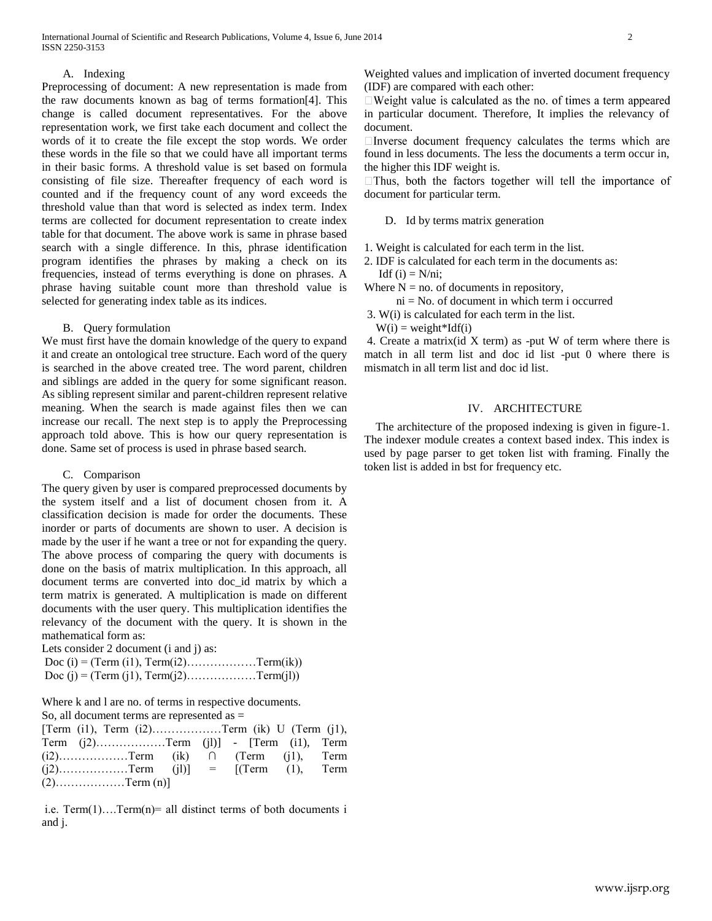#### A. Indexing

Preprocessing of document: A new representation is made from the raw documents known as bag of terms formation[4]. This change is called document representatives. For the above representation work, we first take each document and collect the words of it to create the file except the stop words. We order these words in the file so that we could have all important terms in their basic forms. A threshold value is set based on formula consisting of file size. Thereafter frequency of each word is counted and if the frequency count of any word exceeds the threshold value than that word is selected as index term. Index terms are collected for document representation to create index table for that document. The above work is same in phrase based search with a single difference. In this, phrase identification program identifies the phrases by making a check on its frequencies, instead of terms everything is done on phrases. A phrase having suitable count more than threshold value is selected for generating index table as its indices.

## B. Query formulation

We must first have the domain knowledge of the query to expand it and create an ontological tree structure. Each word of the query is searched in the above created tree. The word parent, children and siblings are added in the query for some significant reason. As sibling represent similar and parent-children represent relative meaning. When the search is made against files then we can increase our recall. The next step is to apply the Preprocessing approach told above. This is how our query representation is done. Same set of process is used in phrase based search.

## C. Comparison

The query given by user is compared preprocessed documents by the system itself and a list of document chosen from it. A classification decision is made for order the documents. These inorder or parts of documents are shown to user. A decision is made by the user if he want a tree or not for expanding the query. The above process of comparing the query with documents is done on the basis of matrix multiplication. In this approach, all document terms are converted into doc\_id matrix by which a term matrix is generated. A multiplication is made on different documents with the user query. This multiplication identifies the relevancy of the document with the query. It is shown in the mathematical form as:

Lets consider 2 document (i and j) as:

| Doc (i) = (Term (i1), Term(i2)Term(ik)) |  |
|-----------------------------------------|--|
| Doc (j) = (Term (j1), Term(j2)Term(j1)) |  |

Where k and l are no. of terms in respective documents. So, all document terms are represented as  $=$ 

|  | [Term (i1), Term (i2)Term (ik) U (Term (j1),  |  |  |  |
|--|-----------------------------------------------|--|--|--|
|  | Term $(i2)$ Term $(i1)$ - [Term $(i1)$ , Term |  |  |  |
|  |                                               |  |  |  |
|  |                                               |  |  |  |
|  | $(2)$ Term (n)]                               |  |  |  |

i.e.  $Term(1) \dots Term(n) = all distinct terms of both documents i$ and j.

Weighted values and implication of inverted document frequency (IDF) are compared with each other:

 $\Box$  Weight value is calculated as the no. of times a term appeared in particular document. Therefore, It implies the relevancy of document.

 $\Box$ Inverse document frequency calculates the terms which are found in less documents. The less the documents a term occur in, the higher this IDF weight is.

 $\Box$  Thus, both the factors together will tell the importance of document for particular term.

## D. Id by terms matrix generation

- 1. Weight is calculated for each term in the list.
- 2. IDF is calculated for each term in the documents as: Idf  $(i) = N/ni$ ;

Where  $N = no$  of documents in repository,

ni = No. of document in which term i occurred

- 3. W(i) is calculated for each term in the list.
- $W(i) = weight*Idf(i)$

4. Create a matrix(id X term) as -put W of term where there is match in all term list and doc id list -put 0 where there is mismatch in all term list and doc id list.

## IV. ARCHITECTURE

 The architecture of the proposed indexing is given in figure-1. The indexer module creates a context based index. This index is used by page parser to get token list with framing. Finally the token list is added in bst for frequency etc.